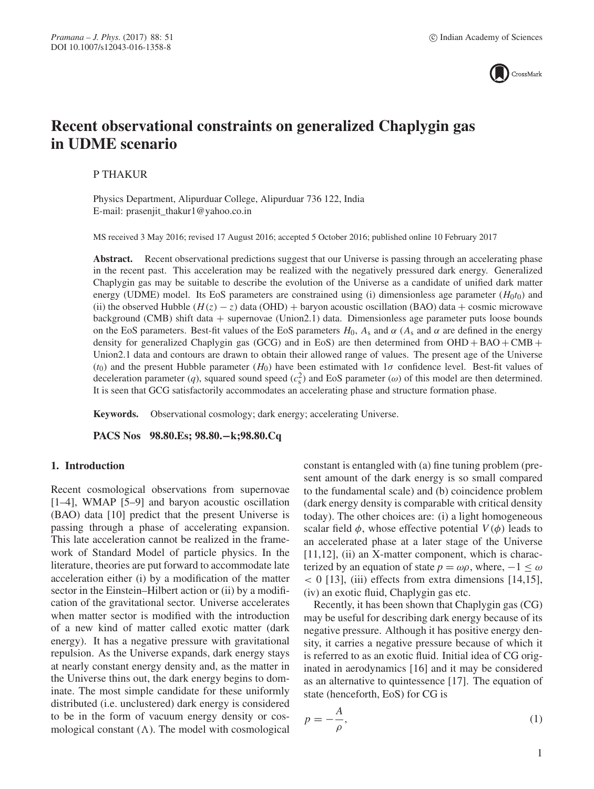

# **Recent observational constraints on generalized Chaplygin gas in UDME scenario**

P THAKUR

Physics Department, Alipurduar College, Alipurduar 736 122, India E-mail: prasenjit\_thakur1@yahoo.co.in

MS received 3 May 2016; revised 17 August 2016; accepted 5 October 2016; published online 10 February 2017

Abstract. Recent observational predictions suggest that our Universe is passing through an accelerating phase in the recent past. This acceleration may be realized with the negatively pressured dark energy. Generalized Chaplygin gas may be suitable to describe the evolution of the Universe as a candidate of unified dark matter energy (UDME) model. Its EoS parameters are constrained using (i) dimensionless age parameter  $(H_0t_0)$  and (ii) the observed Hubble  $(H(z) - z)$  data (OHD) + baryon acoustic oscillation (BAO) data + cosmic microwave background (CMB) shift data + supernovae (Union2.1) data. Dimensionless age parameter puts loose bounds on the EoS parameters. Best-fit values of the EoS parameters  $H_0$ ,  $A_s$  and  $\alpha$  ( $A_s$  and  $\alpha$  are defined in the energy density for generalized Chaplygin gas (GCG) and in EoS) are then determined from  $OHD + BAO + CMB +$ Union2.1 data and contours are drawn to obtain their allowed range of values. The present age of the Universe (t<sub>0</sub>) and the present Hubble parameter (H<sub>0</sub>) have been estimated with  $1\sigma$  confidence level. Best-fit values of deceleration parameter (q), squared sound speed  $(c_s^2)$  and EoS parameter ( $\omega$ ) of this model are then determined. It is seen that GCG satisfactorily accommodates an accelerating phase and structure formation phase.

**Keywords.** Observational cosmology; dark energy; accelerating Universe.

**PACS Nos 98.80.Es; 98.80.−k;98.80.Cq**

### **1. Introduction**

Recent cosmological observations from supernovae [1–4], WMAP [5–9] and baryon acoustic oscillation (BAO) data [10] predict that the present Universe is passing through a phase of accelerating expansion. This late acceleration cannot be realized in the framework of Standard Model of particle physics. In the literature, theories are put forward to accommodate late acceleration either (i) by a modification of the matter sector in the Einstein–Hilbert action or (ii) by a modification of the gravitational sector. Universe accelerates when matter sector is modified with the introduction of a new kind of matter called exotic matter (dark energy). It has a negative pressure with gravitational repulsion. As the Universe expands, dark energy stays at nearly constant energy density and, as the matter in the Universe thins out, the dark energy begins to dominate. The most simple candidate for these uniformly distributed (i.e. unclustered) dark energy is considered to be in the form of vacuum energy density or cosmological constant  $(\Lambda)$ . The model with cosmological constant is entangled with (a) fine tuning problem (present amount of the dark energy is so small compared to the fundamental scale) and (b) coincidence problem (dark energy density is comparable with critical density today). The other choices are: (i) a light homogeneous scalar field  $\phi$ , whose effective potential  $V(\phi)$  leads to an accelerated phase at a later stage of the Universe [11,12], (ii) an X-matter component, which is characterized by an equation of state  $p = \omega \rho$ , where,  $-1 \leq \omega$  $\langle 0 \, [13]$ , (iii) effects from extra dimensions [14,15], (iv) an exotic fluid, Chaplygin gas etc.

Recently, it has been shown that Chaplygin gas (CG) may be useful for describing dark energy because of its negative pressure. Although it has positive energy density, it carries a negative pressure because of which it is referred to as an exotic fluid. Initial idea of CG originated in aerodynamics [16] and it may be considered as an alternative to quintessence [17]. The equation of state (henceforth, EoS) for CG is

$$
p = -\frac{A}{\rho},\tag{1}
$$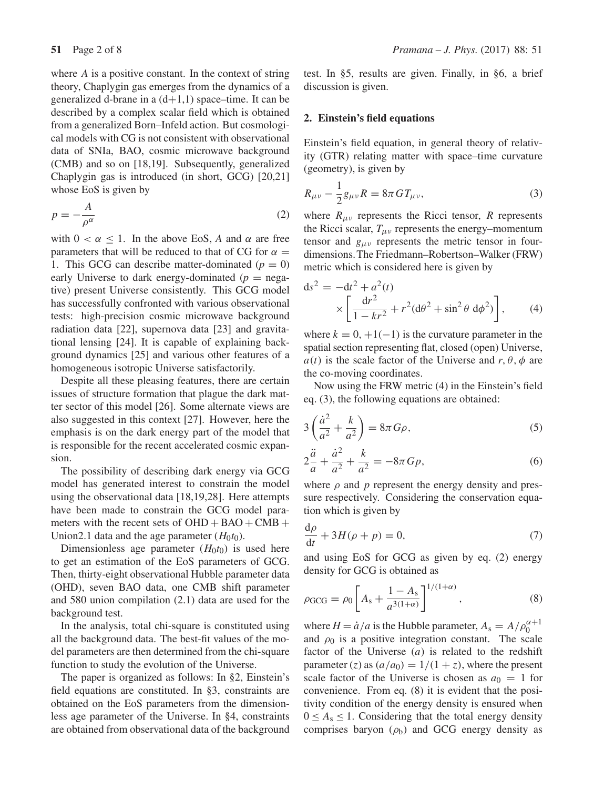where  $A$  is a positive constant. In the context of string theory, Chaplygin gas emerges from the dynamics of a generalized d-brane in a  $(d+1,1)$  space–time. It can be described by a complex scalar field which is obtained from a generalized Born–Infeld action. But cosmological models with CG is not consistent with observational data of SNIa, BAO, cosmic microwave background (CMB) and so on [18,19]. Subsequently, generalized Chaplygin gas is introduced (in short, GCG) [20,21] whose EoS is given by

$$
p = -\frac{A}{\rho^{\alpha}}\tag{2}
$$

with  $0 < \alpha \leq 1$ . In the above EoS, A and  $\alpha$  are free parameters that will be reduced to that of CG for  $\alpha =$ 1. This GCG can describe matter-dominated  $(p = 0)$ early Universe to dark energy-dominated  $(p = nega$ tive) present Universe consistently. This GCG model has successfully confronted with various observational tests: high-precision cosmic microwave background radiation data [22], supernova data [23] and gravitational lensing [24]. It is capable of explaining background dynamics [25] and various other features of a homogeneous isotropic Universe satisfactorily.

Despite all these pleasing features, there are certain issues of structure formation that plague the dark matter sector of this model [26]. Some alternate views are also suggested in this context [27]. However, here the emphasis is on the dark energy part of the model that is responsible for the recent accelerated cosmic expansion.

The possibility of describing dark energy via GCG model has generated interest to constrain the model using the observational data [18,19,28]. Here attempts have been made to constrain the GCG model parameters with the recent sets of  $OHD + BAO + CMB +$ Union2.1 data and the age parameter  $(H_0t_0)$ .

Dimensionless age parameter  $(H_0t_0)$  is used here to get an estimation of the EoS parameters of GCG. Then, thirty-eight observational Hubble parameter data (OHD), seven BAO data, one CMB shift parameter and 580 union compilation (2.1) data are used for the background test.

In the analysis, total chi-square is constituted using all the background data. The best-fit values of the model parameters are then determined from the chi-square function to study the evolution of the Universe.

The paper is organized as follows: In §2, Einstein's field equations are constituted. In §3, constraints are obtained on the EoS parameters from the dimensionless age parameter of the Universe. In §4, constraints are obtained from observational data of the background test. In §5, results are given. Finally, in §6, a brief discussion is given.

# **2. Einstein's field equations**

Einstein's field equation, in general theory of relativity (GTR) relating matter with space–time curvature (geometry), is given by

$$
R_{\mu\nu} - \frac{1}{2}g_{\mu\nu}R = 8\pi GT_{\mu\nu},
$$
\n(3)

where  $R_{\mu\nu}$  represents the Ricci tensor, R represents the Ricci scalar,  $T_{\mu\nu}$  represents the energy–momentum tensor and  $g_{\mu\nu}$  represents the metric tensor in fourdimensions.The Friedmann–Robertson–Walker (FRW) metric which is considered here is given by

$$
ds^{2} = -dt^{2} + a^{2}(t)
$$
  
 
$$
\times \left[ \frac{dr^{2}}{1 - kr^{2}} + r^{2}(d\theta^{2} + \sin^{2}\theta \ d\phi^{2}) \right],
$$
 (4)

where  $k = 0, +1(-1)$  is the curvature parameter in the spatial section representing flat, closed (open) Universe,  $a(t)$  is the scale factor of the Universe and r,  $\theta$ ,  $\phi$  are the co-moving coordinates.

Now using the FRW metric (4) in the Einstein's field eq. (3), the following equations are obtained:

$$
3\left(\frac{\dot{a}^2}{a^2} + \frac{k}{a^2}\right) = 8\pi G\rho,\tag{5}
$$

$$
2\frac{\ddot{a}}{a} + \frac{\dot{a}^2}{a^2} + \frac{k}{a^2} = -8\pi G p,\tag{6}
$$

where  $\rho$  and  $p$  represent the energy density and pressure respectively. Considering the conservation equation which is given by

$$
\frac{\mathrm{d}\rho}{\mathrm{d}t} + 3H(\rho + p) = 0,\tag{7}
$$

and using EoS for GCG as given by eq. (2) energy density for GCG is obtained as

$$
\rho_{\rm GCG} = \rho_0 \left[ A_s + \frac{1 - A_s}{a^{3(1+\alpha)}} \right]^{1/(1+\alpha)}, \tag{8}
$$

where  $H = \dot{a}/a$  is the Hubble parameter,  $A_s = A/\rho_0^{\alpha+1}$ and  $\rho_0$  is a positive integration constant. The scale factor of the Universe  $(a)$  is related to the redshift parameter (z) as  $(a/a_0) = 1/(1 + z)$ , where the present scale factor of the Universe is chosen as  $a_0 = 1$  for convenience. From eq. (8) it is evident that the positivity condition of the energy density is ensured when  $0 \leq A_s \leq 1$ . Considering that the total energy density comprises baryon  $(\rho_b)$  and GCG energy density as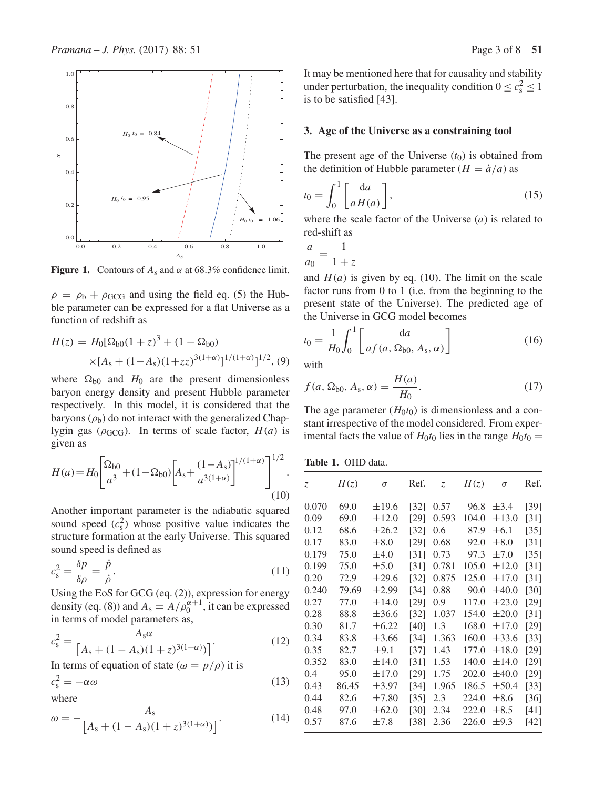

**Figure 1.** Contours of  $A_s$  and  $\alpha$  at 68.3% confidence limit.

 $\rho = \rho_b + \rho_{GCG}$  and using the field eq. (5) the Hubble parameter can be expressed for a flat Universe as a function of redshift as

$$
H(z) = H_0[\Omega_{b0}(1+z)^3 + (1-\Omega_{b0})
$$
  
×[ $A_s + (1-A_s)(1+zz)^{3(1+\alpha)}\frac{1}{(1+\alpha)^2}$ ](9)

where  $\Omega_{b0}$  and  $H_0$  are the present dimensionless baryon energy density and present Hubble parameter respectively. In this model, it is considered that the baryons  $(\rho_b)$  do not interact with the generalized Chaplygin gas ( $\rho$ <sub>GCG</sub>). In terms of scale factor,  $H(a)$  is given as

$$
H(a) = H_0 \left[ \frac{\Omega_{b0}}{a^3} + (1 - \Omega_{b0}) \left[ A_s + \frac{(1 - A_s)}{a^{3(1 + \alpha)}} \right]^{1/(1 + \alpha)} \right]^{1/2}.
$$
\n(10)

Another important parameter is the adiabatic squared sound speed  $(c_s^2)$  whose positive value indicates the structure formation at the early Universe. This squared sound speed is defined as

$$
c_s^2 = \frac{\delta p}{\delta \rho} = \frac{\dot{p}}{\dot{\rho}}.\tag{11}
$$

Using the EoS for GCG (eq. (2)), expression for energy density (eq. (8)) and  $A_s = A/\rho_0^{\alpha+1}$ , it can be expressed in terms of model parameters as,

$$
c_s^2 = \frac{A_s \alpha}{\left[A_s + (1 - A_s)(1 + z)^{3(1 + \alpha)}\right]}.
$$
\n(12)

In terms of equation of state ( $\omega = p/\rho$ ) it is

$$
c_s^2 = -\alpha \omega \tag{13}
$$

where

$$
\omega = -\frac{A_s}{\left[A_s + (1 - A_s)(1 + z)^{3(1 + \alpha)}\right]}.\tag{14}
$$

It may be mentioned here that for causality and stability under perturbation, the inequality condition  $0 \leq c_s^2 \leq 1$ is to be satisfied [43].

### **3. Age of the Universe as a constraining tool**

The present age of the Universe  $(t_0)$  is obtained from the definition of Hubble parameter  $(H = \dot{a}/a)$  as

$$
t_0 = \int_0^1 \left[ \frac{\mathrm{d}a}{aH(a)} \right],\tag{15}
$$

where the scale factor of the Universe  $(a)$  is related to red-shift as

$$
\frac{a}{a_0} = \frac{1}{1+z}
$$

and  $H(a)$  is given by eq. (10). The limit on the scale factor runs from 0 to 1 (i.e. from the beginning to the present state of the Universe). The predicted age of the Universe in GCG model becomes

$$
t_0 = \frac{1}{H_0} \int_0^1 \left[ \frac{da}{af(a, \Omega_{b0}, A_s, \alpha)} \right]
$$
(16)

with

$$
f(a, \Omega_{b0}, A_s, \alpha) = \frac{H(a)}{H_0}.
$$
 (17)

The age parameter  $(H_0t_0)$  is dimensionless and a constant irrespective of the model considered. From experimental facts the value of  $H_0t_0$  lies in the range  $H_0t_0 =$ 

**Table 1.** OHD data.

| $\mathcal{Z}$ | H(z)  | $\sigma$   | Ref.               | Z.    | H(z)  | $\sigma$   | Ref.               |
|---------------|-------|------------|--------------------|-------|-------|------------|--------------------|
| 0.070         | 69.0  | $\pm 19.6$ | $\lceil 32 \rceil$ | 0.57  | 96.8  | $\pm$ 3.4  | [39]               |
| 0.09          | 69.0  | $\pm 12.0$ | [29]               | 0.593 | 104.0 | $\pm 13.0$ | $\lceil 31 \rceil$ |
| 0.12          | 68.6  | $\pm 26.2$ | [32]               | 0.6   | 87.9  | $\pm 6.1$  | $\left[35\right]$  |
| 0.17          | 83.0  | $\pm 8.0$  | [29]               | 0.68  | 92.0  | $\pm 8.0$  | $\lceil 31 \rceil$ |
| 0.179         | 75.0  | $\pm 4.0$  | [31]               | 0.73  | 97.3  | $\pm 7.0$  | $\left[35\right]$  |
| 0.199         | 75.0  | $\pm$ 5.0  | $\lceil 31 \rceil$ | 0.781 | 105.0 | $\pm 12.0$ | $\lceil 31 \rceil$ |
| 0.20          | 72.9  | $\pm 29.6$ | [32]               | 0.875 | 125.0 | $\pm 17.0$ | [31]               |
| 0.240         | 79.69 | $\pm 2.99$ | [34]               | 0.88  | 90.0  | $\pm 40.0$ | [30]               |
| 0.27          | 77.0  | $\pm 14.0$ | [29]               | 0.9   | 117.0 | $\pm 23.0$ | [29]               |
| 0.28          | 88.8  | $\pm 36.6$ | $[32]$             | 1.037 | 154.0 | $\pm 20.0$ | $\lceil 31 \rceil$ |
| 0.30          | 81.7  | $\pm 6.22$ | [40]               | 1.3   | 168.0 | $\pm 17.0$ | [29]               |
| 0.34          | 83.8  | $\pm 3.66$ | [34]               | 1.363 | 160.0 | $\pm$ 33.6 | $\left[33\right]$  |
| 0.35          | 82.7  | $\pm$ 9.1  | [37]               | 1.43  | 177.0 | $\pm 18.0$ | $[29]$             |
| 0.352         | 83.0  | $\pm 14.0$ | [31]               | 1.53  | 140.0 | $\pm 14.0$ | [29]               |
| 0.4           | 95.0  | $\pm 17.0$ | [29]               | 1.75  | 202.0 | $\pm 40.0$ | [29]               |
| 0.43          | 86.45 | $\pm$ 3.97 | [34]               | 1.965 | 186.5 | $\pm$ 50.4 | $[33]$             |
| 0.44          | 82.6  | $\pm 7.80$ | $\left[35\right]$  | 2.3   | 224.0 | $\pm 8.6$  | $[36]$             |
| 0.48          | 97.0  | $\pm 62.0$ | $[30]$             | 2.34  | 222.0 | $\pm 8.5$  | [41]               |
| 0.57          | 87.6  | $\pm 7.8$  | $[38]$             | 2.36  | 226.0 | $\pm$ 9.3  | [42]               |
|               |       |            |                    |       |       |            |                    |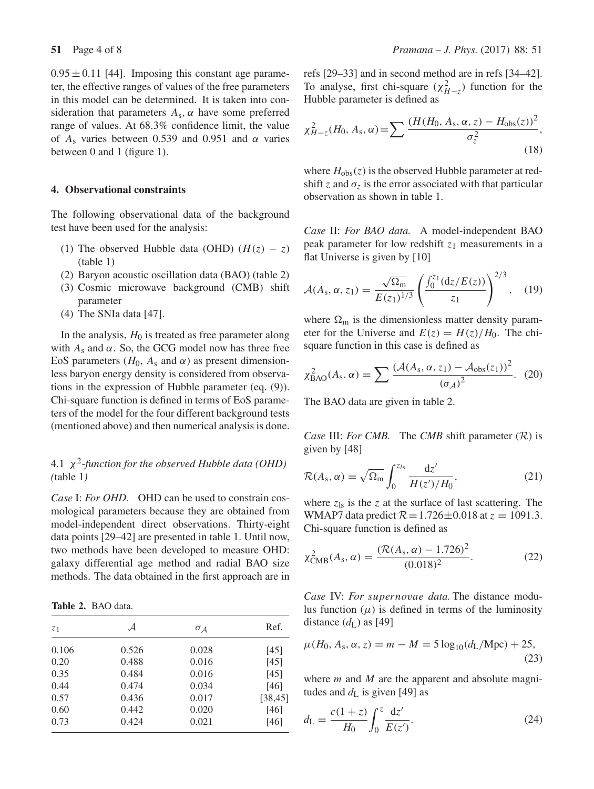$0.95 \pm 0.11$  [44]. Imposing this constant age parameter, the effective ranges of values of the free parameters in this model can be determined. It is taken into consideration that parameters  $A_s$ ,  $\alpha$  have some preferred range of values. At 68.3% confidence limit, the value of  $A_s$  varies between 0.539 and 0.951 and  $\alpha$  varies between 0 and 1 (figure 1).

## **4. Observational constraints**

The following observational data of the background test have been used for the analysis:

- (1) The observed Hubble data (OHD)  $(H(z) z)$ (table 1)
- (2) Baryon acoustic oscillation data (BAO) (table 2)
- (3) Cosmic microwave background (CMB) shift parameter
- (4) The SNIa data [47].

In the analysis,  $H_0$  is treated as free parameter along with  $A_s$  and  $\alpha$ . So, the GCG model now has three free EoS parameters ( $H_0$ ,  $A_s$  and  $\alpha$ ) as present dimensionless baryon energy density is considered from observations in the expression of Hubble parameter (eq. (9)). Chi-square function is defined in terms of EoS parameters of the model for the four different background tests (mentioned above) and then numerical analysis is done.

# 4.1 χ2*-function for the observed Hubble data (OHD) (*table 1*)*

*Case* I: *For OHD.* OHD can be used to constrain cosmological parameters because they are obtained from model-independent direct observations. Thirty-eight data points [29–42] are presented in table 1. Until now, two methods have been developed to measure OHD: galaxy differential age method and radial BAO size methods. The data obtained in the first approach are in

| Table 2. BAO data. |  |  |  |
|--------------------|--|--|--|
|--------------------|--|--|--|

| Z <sub>1</sub> | ${\cal A}$ | $\sigma_{\mathcal{A}}$ | Ref.     |
|----------------|------------|------------------------|----------|
| 0.106          | 0.526      | 0.028                  | [45]     |
| 0.20           | 0.488      | 0.016                  | [45]     |
| 0.35           | 0.484      | 0.016                  | [45]     |
| 0.44           | 0.474      | 0.034                  | [46]     |
| 0.57           | 0.436      | 0.017                  | [38, 45] |
| 0.60           | 0.442      | 0.020                  | [46]     |
| 0.73           | 0.424      | 0.021                  | [46]     |

refs [29–33] and in second method are in refs [34–42]. To analyse, first chi-square  $(\chi^2_{H-z})$  function for the Hubble parameter is defined as

$$
\chi_{H-z}^{2}(H_{0}, A_{s}, \alpha) = \sum \frac{(H(H_{0}, A_{s}, \alpha, z) - H_{obs}(z))^{2}}{\sigma_{z}^{2}},
$$
\n(18)

where  $H_{obs}(z)$  is the observed Hubble parameter at redshift z and  $\sigma_z$  is the error associated with that particular observation as shown in table 1.

*Case* II: *For BAO data.* A model-independent BAO peak parameter for low redshift  $z_1$  measurements in a flat Universe is given by [10]

$$
\mathcal{A}(A_{\rm s}, \alpha, z_1) = \frac{\sqrt{\Omega_{\rm m}}}{E(z_1)^{1/3}} \left( \frac{\int_0^{z_1} (\mathrm{d}z/E(z))}{z_1} \right)^{2/3}, \quad (19)
$$

where  $\Omega_{\rm m}$  is the dimensionless matter density parameter for the Universe and  $E(z) = H(z)/H_0$ . The chisquare function in this case is defined as

$$
\chi_{\text{BAO}}^2(A_s, \alpha) = \sum \frac{(\mathcal{A}(A_s, \alpha, z_1) - \mathcal{A}_{\text{obs}}(z_1))^2}{(\sigma_{\mathcal{A}})^2}.
$$
 (20)

The BAO data are given in table 2.

*Case* III: *For CMB*. The *CMB* shift parameter  $(R)$  is given by [48]

$$
\mathcal{R}(A_s, \alpha) = \sqrt{\Omega_{\rm m}} \int_0^{z_{ls}} \frac{\mathrm{d}z'}{H(z')/H_0},\tag{21}
$$

where  $z_{ls}$  is the z at the surface of last scattering. The WMAP7 data predict  $R=1.726\pm0.018$  at  $z = 1091.3$ . Chi-square function is defined as

$$
\chi^2_{\text{CMB}}(A_s, \alpha) = \frac{(\mathcal{R}(A_s, \alpha) - 1.726)^2}{(0.018)^2}.
$$
 (22)

*Case* IV: *For* supernovae *data.* The distance modulus function  $(\mu)$  is defined in terms of the luminosity distance  $(d_{L})$  as [49]

$$
\mu(H_0, A_s, \alpha, z) = m - M = 5 \log_{10}(d_{\rm L}/{\rm Mpc}) + 25,
$$
\n(23)

where  $m$  and  $M$  are the apparent and absolute magnitudes and  $d_{\rm L}$  is given [49] as

$$
d_{\rm L} = \frac{c(1+z)}{H_0} \int_0^z \frac{\mathrm{d}z'}{E(z')}.
$$
 (24)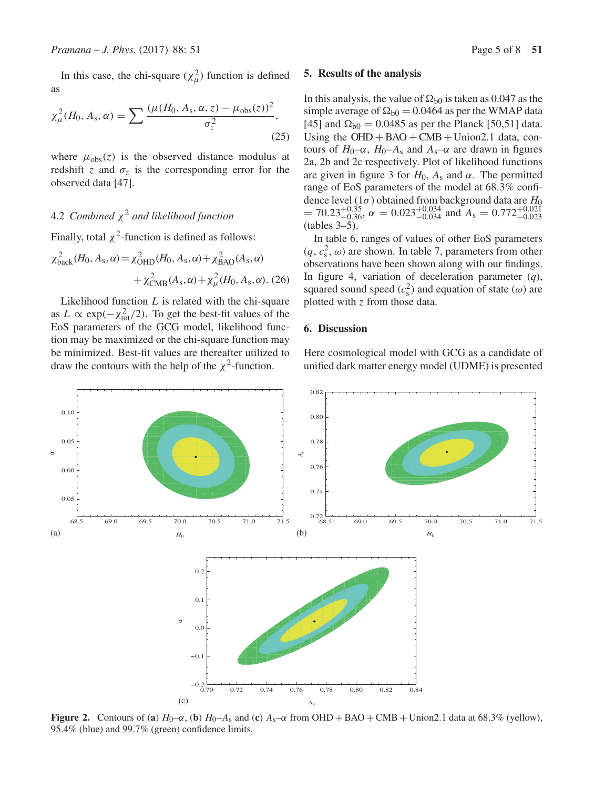In this case, the chi-square  $(\chi^2_\mu)$  function is defined as

$$
\chi_{\mu}^{2}(H_{0}, A_{s}, \alpha) = \sum \frac{(\mu(H_{0}, A_{s}, \alpha, z) - \mu_{obs}(z))^{2}}{\sigma_{z}^{2}},
$$
\n(25)

where  $\mu_{obs}(z)$  is the observed distance modulus at redshift z and  $\sigma_z$  is the corresponding error for the observed data [47].

# 4.2 *Combined* χ<sup>2</sup> *and likelihood function*

Finally, total  $\chi^2$ -function is defined as follows:

$$
\chi_{\text{back}}^2(H_0, A_s, \alpha) = \chi_{\text{OHD}}^2(H_0, A_s, \alpha) + \chi_{\text{BAO}}^2(A_s, \alpha) + \chi_{\text{CMB}}^2(A_s, \alpha) + \chi_{\mu}^2(H_0, A_s, \alpha). (26)
$$

Likelihood function  $L$  is related with the chi-square as  $L \propto \exp(-\chi_{\text{tot}}^2/2)$ . To get the best-fit values of the EoS parameters of the GCG model, likelihood function may be maximized or the chi-square function may be minimized. Best-fit values are thereafter utilized to draw the contours with the help of the  $\chi^2$ -function.

#### **5. Results of the analysis**

In this analysis, the value of  $\Omega_{b0}$  is taken as 0.047 as the simple average of  $\Omega_{b0} = 0.0464$  as per the WMAP data [45] and  $\Omega_{b0} = 0.0485$  as per the Planck [50,51] data. Using the  $OHD + BAO + CMB + Union2.1$  data, contours of  $H_0$ – $\alpha$ ,  $H_0$ – $A_s$  and  $A_s$ – $\alpha$  are drawn in figures 2a, 2b and 2c respectively. Plot of likelihood functions are given in figure 3 for  $H_0$ ,  $A_s$  and  $\alpha$ . The permitted range of EoS parameters of the model at 68.3% confidence level  $(1\sigma)$  obtained from background data are  $H_0$  $= 70.23_{-0.36}^{+0.35}$ ,  $\alpha = 0.023_{-0.034}^{+0.034}$  and  $A_s = 0.772_{-0.023}^{+0.021}$ (tables 3–5).

In table 6, ranges of values of other EoS parameters  $(q, c_s^2, \omega)$  are shown. In table 7, parameters from other observations have been shown along with our findings. In figure 4, variation of deceleration parameter (*q*), squared sound speed  $(c_s^2)$  and equation of state  $(\omega)$  are plotted with z from those data.

### **6. Discussion**

Here cosmological model with GCG as a candidate of unified dark matter energy model (UDME) is presented



**Figure 2.** Contours of (a)  $H_0-\alpha$ , (b)  $H_0-A_s$  and (c)  $A_s-\alpha$  from OHD + BAO + CMB + Union2.1 data at 68.3% (yellow), 95.4% (blue) and 99.7% (green) confidence limits.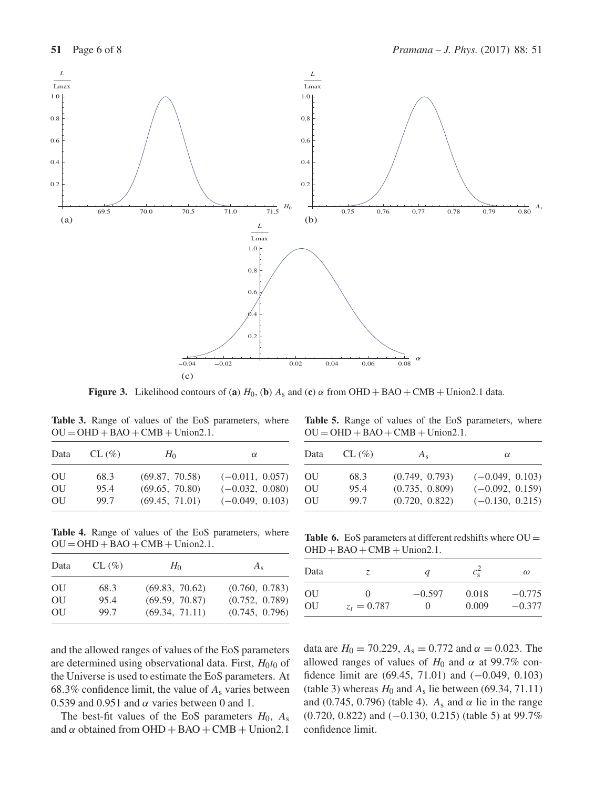

**Figure 3.** Likelihood contours of (**a**)  $H_0$ , (**b**)  $A_s$  and (**c**)  $\alpha$  from OHD + BAO + CMB + Union2.1 data.

**Table 3.** Range of values of the EoS parameters, where  $OU = OHD + BAO + CMB + Union2.1.$ 

| Data | $CL (\%)$ | $H_0$          | $\alpha$          |
|------|-----------|----------------|-------------------|
| OU   | 68.3      | (69.87, 70.58) | $(-0.011, 0.057)$ |
| OU   | 95.4      | (69.65, 70.80) | $(-0.032, 0.080)$ |
| OU   | 99.7      | (69.45, 71.01) | $(-0.049, 0.103)$ |

**Table 4.** Range of values of the EoS parameters, where  $OU = OHD + BAO + CMB + Union2.1.$ 

| Data | $CL (\%)$ | $H_0$          | $A_{s}$        |
|------|-----------|----------------|----------------|
| OU   | 68.3      | (69.83, 70.62) | (0.760, 0.783) |
| OU   | 95.4      | (69.59, 70.87) | (0.752, 0.789) |
| OU   | 99.7      | (69.34, 71.11) | (0.745, 0.796) |

**Table 5.** Range of values of the EoS parameters, where  $OU = OHD + BAO + CMB + Union2.1.$ 

| Data | $CL (\%)$ | $A_{s}$        | $\alpha$          |
|------|-----------|----------------|-------------------|
| OU   | 68.3      | (0.749, 0.793) | $(-0.049, 0.103)$ |
| OU   | 95.4      | (0.735, 0.809) | $(-0.092, 0.159)$ |
| OU   | 99.7      | (0.720, 0.822) | $(-0.130, 0.215)$ |

Table 6. EoS parameters at different redshifts where  $OU =$  $OHD + BAO + CMB + Union2.1.$ 

| Data | Z.            | q        | $c_{\rm s}^2$ | $\omega$ |
|------|---------------|----------|---------------|----------|
| OU   | $^{(1)}$      | $-0.597$ | 0.018         | $-0.775$ |
| OU   | $z_t = 0.787$ | $\theta$ | 0.009         | $-0.377$ |

and the allowed ranges of values of the EoS parameters are determined using observational data. First,  $H_0t_0$  of the Universe is used to estimate the EoS parameters. At 68.3% confidence limit, the value of  $A_s$  varies between 0.539 and 0.951 and  $\alpha$  varies between 0 and 1.

The best-fit values of the EoS parameters  $H_0$ ,  $A_s$ and  $\alpha$  obtained from OHD + BAO + CMB + Union2.1 data are  $H_0 = 70.229$ ,  $A_s = 0.772$  and  $\alpha = 0.023$ . The allowed ranges of values of  $H_0$  and  $\alpha$  at 99.7% confidence limit are (69.45, 71.01) and (−0.049, 0.103) (table 3) whereas  $H_0$  and  $A_s$  lie between (69.34, 71.11) and (0.745, 0.796) (table 4).  $A_s$  and  $\alpha$  lie in the range (0.720, 0.822) and (−0.130, 0.215) (table 5) at 99.7% confidence limit.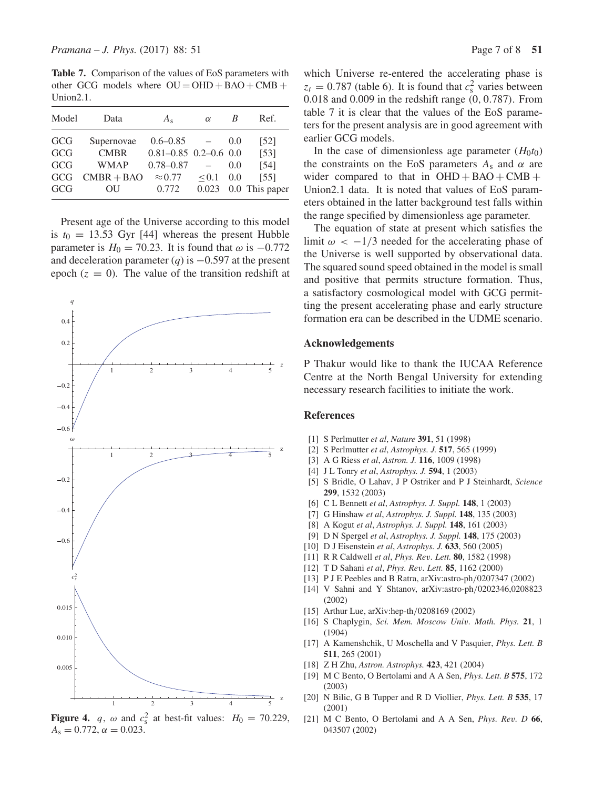**Table 7.** Comparison of the values of EoS parameters with other GCG models where  $OU = OHD + BAO + CMB +$ Union2.1.

| Data         | $A_{s}$        | $\alpha$ | В     | Ref.                      |
|--------------|----------------|----------|-------|---------------------------|
| Supernovae   | $0.6 - 0.85$   |          | (0.0) | $\left[52\right]$         |
| <b>CMBR</b>  |                |          |       | $\left[53\right]$         |
| <b>WMAP</b>  | $0.78 - 0.87$  |          | 0.0   | [54]                      |
| $CMBR + BAO$ | $\approx 0.77$ | < 0.1    | 0.0   | [55]                      |
| OΗ           | 0.772          | 0.023    |       | 0.0 This paper            |
|              |                |          |       | $0.81 - 0.85$ 0.2-0.6 0.0 |

Present age of the Universe according to this model is  $t_0 = 13.53$  Gyr [44] whereas the present Hubble parameter is  $H_0 = 70.23$ . It is found that  $\omega$  is  $-0.772$ and deceleration parameter (*q*) is −0.597 at the present epoch  $(z = 0)$ . The value of the transition redshift at



**Figure 4.**  $q$ ,  $\omega$  and  $c_s^2$  at best-fit values:  $H_0 = 70.229$ ,  $A_s = 0.772$ ,  $\alpha = 0.023$ .

which Universe re-entered the accelerating phase is  $z_t = 0.787$  (table 6). It is found that  $c_s^2$  varies between 0.018 and 0.009 in the redshift range (0, 0.787). From table 7 it is clear that the values of the EoS parameters for the present analysis are in good agreement with earlier GCG models.

In the case of dimensionless age parameter  $(H_0t_0)$ the constraints on the EoS parameters  $A_s$  and  $\alpha$  are wider compared to that in  $OHD + BAO + CMB +$ Union2.1 data. It is noted that values of EoS parameters obtained in the latter background test falls within the range specified by dimensionless age parameter.

The equation of state at present which satisfies the limit  $\omega < -1/3$  needed for the accelerating phase of the Universe is well supported by observational data. The squared sound speed obtained in the model is small and positive that permits structure formation. Thus, a satisfactory cosmological model with GCG permitting the present accelerating phase and early structure formation era can be described in the UDME scenario.

### **Acknowledgements**

P Thakur would like to thank the IUCAA Reference Centre at the North Bengal University for extending necessary research facilities to initiate the work.

### **References**

- [1] S Perlmutter *et al*, *Nature* **391**, 51 (1998)
- [2] S Perlmutter *et al*, *Astrophys. J.* **517**, 565 (1999)
- [3] A G Riess *et al*, *Astron. J.* **116**, 1009 (1998)
- [4] J L Tonry *et al*, *Astrophys. J.* **594**, 1 (2003)
- [5] S Bridle, O Lahav, J P Ostriker and P J Steinhardt, *Science* **299**, 1532 (2003)
- [6] C L Bennett *et al*, *Astrophys. J. Suppl.* **148**, 1 (2003)
- [7] G Hinshaw *et al*, *Astrophys. J. Suppl.* **148**, 135 (2003)
- [8] A Kogut *et al*, *Astrophys. J. Suppl.* **148**, 161 (2003)
- [9] D N Spergel *et al*, *Astrophys. J. Suppl.* **148**, 175 (2003)
- [10] D J Eisenstein *et al*, *Astrophys. J.* **633**, 560 (2005)
- [11] R R Caldwell *et al*, *Phys. Re*v*. Lett.* **80**, 1582 (1998)
- [12] T D Sahani *et al*, *Phys. Re*v*. Lett.* **85**, 1162 (2000)
- [13] P J E Peebles and B Ratra, arXiv:astro-ph/0207347 (2002)
- [14] V Sahni and Y Shtanov, arXiv:astro-ph/0202346,0208823 (2002)
- [15] Arthur Lue, arXiv:hep-th/0208169 (2002)
- [16] S Chaplygin, *Sci. Mem. Moscow Uni*v*. Math. Phys.* **21**, 1 (1904)
- [17] A Kamenshchik, U Moschella and V Pasquier, *Phys. Lett. B* **511**, 265 (2001)
- [18] Z H Zhu, *Astron. Astrophys.* **423**, 421 (2004)
- [19] M C Bento, O Bertolami and A A Sen, *Phys. Lett. B* **575**, 172 (2003)
- [20] N Bilic, G B Tupper and R D Viollier, *Phys. Lett. B* **535**, 17 (2001)
- [21] M C Bento, O Bertolami and A A Sen, *Phys. Re*v*. D* **66**, 043507 (2002)